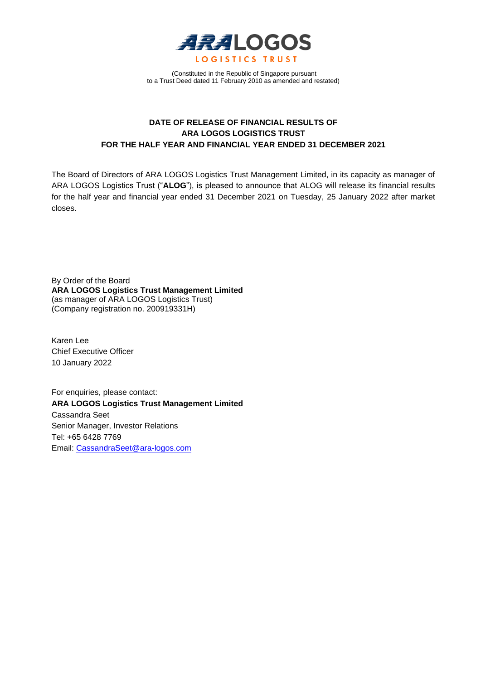

(Constituted in the Republic of Singapore pursuant to a Trust Deed dated 11 February 2010 as amended and restated)

# **DATE OF RELEASE OF FINANCIAL RESULTS OF ARA LOGOS LOGISTICS TRUST FOR THE HALF YEAR AND FINANCIAL YEAR ENDED 31 DECEMBER 2021**

The Board of Directors of ARA LOGOS Logistics Trust Management Limited, in its capacity as manager of ARA LOGOS Logistics Trust ("**ALOG**"), is pleased to announce that ALOG will release its financial results for the half year and financial year ended 31 December 2021 on Tuesday, 25 January 2022 after market closes.

By Order of the Board **ARA LOGOS Logistics Trust Management Limited** (as manager of ARA LOGOS Logistics Trust) (Company registration no. 200919331H)

Karen Lee Chief Executive Officer 10 January 2022

For enquiries, please contact: **ARA LOGOS Logistics Trust Management Limited** Cassandra Seet Senior Manager, Investor Relations Tel: +65 6428 7769 Email: [CassandraSeet@ara-logos.com](mailto:CassandraSeet@ara-logos.com)